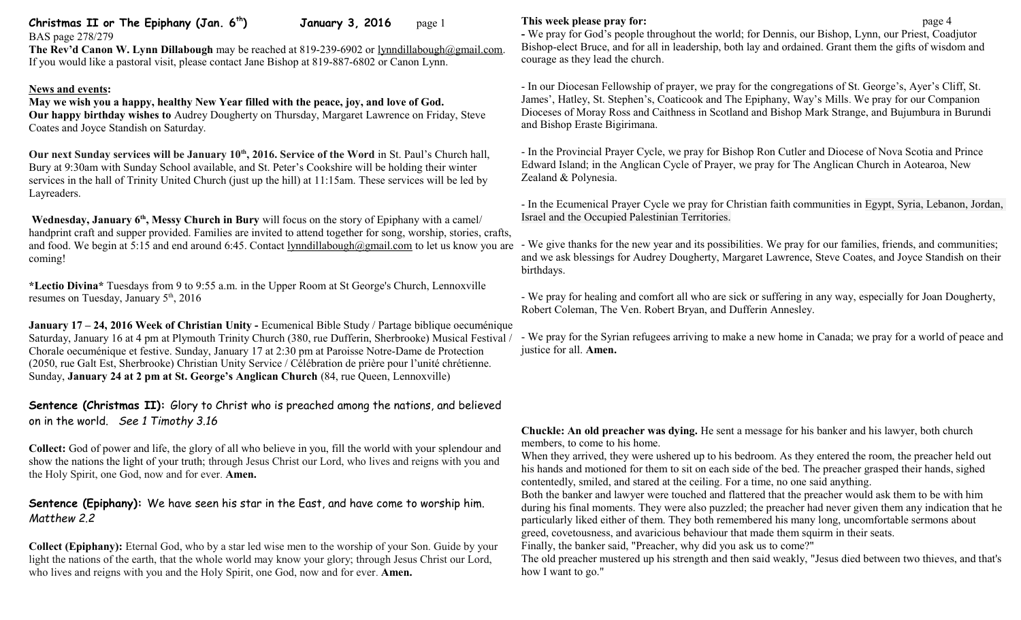## **Christmas II or The Epiphany (Jan. 6th) January 3, 2016** page 1 BAS page 278/279

**The Rev'd Canon W. Lynn Dillabough** may be reached at 819-239-6902 or [lynndillabough@gmail.com.](mailto:lynndillabough@gmail.com) If you would like a pastoral visit, please contact Jane Bishop at 819-887-6802 or Canon Lynn.

## **News and events:**

**May we wish you a happy, healthy New Year filled with the peace, joy, and love of God. Our happy birthday wishes to** Audrey Dougherty on Thursday, Margaret Lawrence on Friday, Steve Coates and Joyce Standish on Saturday.

**Our next Sunday services will be January 10th, 2016. Service of the Word** in St. Paul's Church hall, Bury at 9:30am with Sunday School available, and St. Peter's Cookshire will be holding their winter services in the hall of Trinity United Church (just up the hill) at 11:15am. These services will be led by Layreaders.

Wednesday, January 6<sup>th</sup>, Messy Church in Bury will focus on the story of Epiphany with a camel/ handprint craft and supper provided. Families are invited to attend together for song, worship, stories, crafts, and food. We begin at 5:15 and end around 6:45. Contact [lynndillabough@gmail.com](mailto:lynndillabough@gmail.com) to let us know you are coming!

**\*Lectio Divina\*** Tuesdays from 9 to 9:55 a.m. in the Upper Room at St George's Church, Lennoxville resumes on Tuesday, January  $5<sup>th</sup>$ , 2016

**January 17 – 24, 2016 Week of Christian Unity - Ecumenical Bible Study / Partage biblique oecuménique** Saturday, January 16 at 4 pm at Plymouth Trinity Church (380, rue Dufferin, Sherbrooke) Musical Festival / Chorale oecuménique et festive. Sunday, January 17 at 2:30 pm at Paroisse Notre-Dame de Protection (2050, rue Galt Est, Sherbrooke) Christian Unity Service / Célébration de prière pour l'unité chrétienne. Sunday, **January 24 at 2 pm at St. George's Anglican Church** (84, rue Queen, Lennoxville)

# Sentence (Christmas II): Glory to Christ who is preached among the nations, and believed on in the world. *See 1 Timothy 3.16*

**Collect:** God of power and life, the glory of all who believe in you, fill the world with your splendour and show the nations the light of your truth; through Jesus Christ our Lord, who lives and reigns with you and the Holy Spirit, one God, now and for ever. **Amen.**

**Sentence (Epiphany):** We have seen his star in the East, and have come to worship him. *Matthew 2.2*

**Collect (Epiphany):** Eternal God, who by a star led wise men to the worship of your Son. Guide by your light the nations of the earth, that the whole world may know your glory; through Jesus Christ our Lord, who lives and reigns with you and the Holy Spirit, one God, now and for ever. **Amen.**

### **This week please pray for: page 4**

**-** We pray for God's people throughout the world; for Dennis, our Bishop, Lynn, our Priest, Coadjutor Bishop-elect Bruce, and for all in leadership, both lay and ordained. Grant them the gifts of wisdom and courage as they lead the church.

- In our Diocesan Fellowship of prayer, we pray for the congregations of St. George's, Ayer's Cliff, St. James', Hatley, St. Stephen's, Coaticook and The Epiphany, Way's Mills. We pray for our Companion Dioceses of Moray Ross and Caithness in Scotland and Bishop Mark Strange, and Bujumbura in Burundi and Bishop Eraste Bigirimana.

- In the Provincial Prayer Cycle, we pray for Bishop Ron Cutler and Diocese of Nova Scotia and Prince Edward Island; in the Anglican Cycle of Prayer, we pray for The Anglican Church in Aotearoa, New Zealand & Polynesia.

- In the Ecumenical Prayer Cycle we pray for Christian faith communities in Egypt, Syria, Lebanon, Jordan, Israel and the Occupied Palestinian Territories.

- We give thanks for the new year and its possibilities. We pray for our families, friends, and communities; and we ask blessings for Audrey Dougherty, Margaret Lawrence, Steve Coates, and Joyce Standish on their birthdays.

- We pray for healing and comfort all who are sick or suffering in any way, especially for Joan Dougherty, Robert Coleman, The Ven. Robert Bryan, and Dufferin Annesley.

- We pray for the Syrian refugees arriving to make a new home in Canada; we pray for a world of peace and justice for all. **Amen.**

**Chuckle: An old preacher was dying.** He sent a message for his banker and his lawyer, both church members, to come to his home.

When they arrived, they were ushered up to his bedroom. As they entered the room, the preacher held out his hands and motioned for them to sit on each side of the bed. The preacher grasped their hands, sighed contentedly, smiled, and stared at the ceiling. For a time, no one said anything.

Both the banker and lawyer were touched and flattered that the preacher would ask them to be with him during his final moments. They were also puzzled; the preacher had never given them any indication that he particularly liked either of them. They both remembered his many long, uncomfortable sermons about greed, covetousness, and avaricious behaviour that made them squirm in their seats.

Finally, the banker said, "Preacher, why did you ask us to come?"

The old preacher mustered up his strength and then said weakly, "Jesus died between two thieves, and that's how I want to go."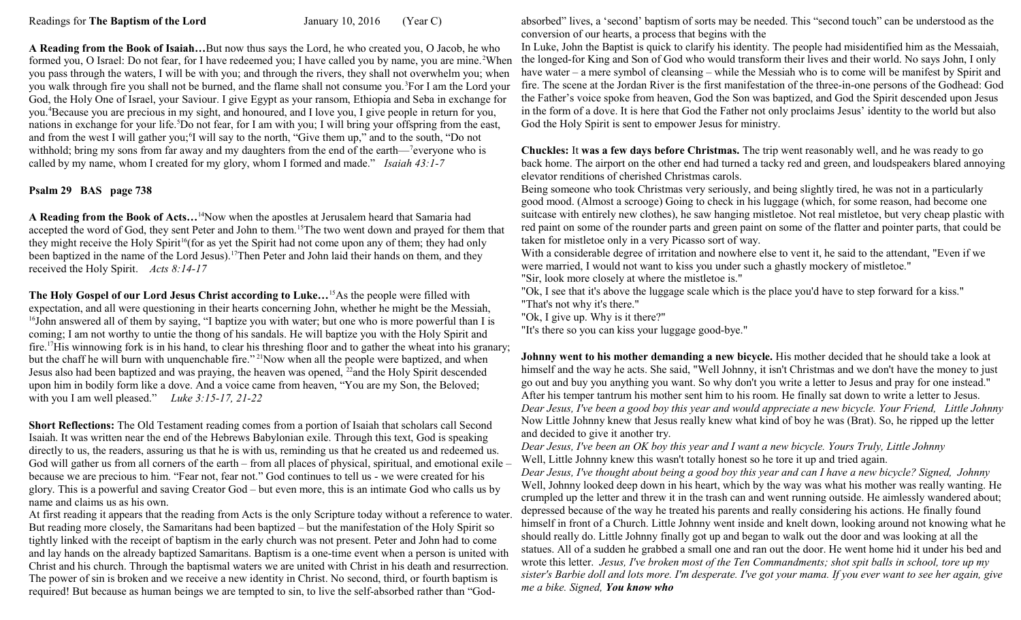**A Reading from the Book of Isaiah…**But now thus says the Lord, he who created you, O Jacob, he who formed you, O Israel: Do not fear, for I have redeemed you; I have called you by name, you are mine. <sup>2</sup>When you pass through the waters, I will be with you; and through the rivers, they shall not overwhelm you; when you walk through fire you shall not be burned, and the flame shall not consume you.<sup>3</sup>For I am the Lord your God, the Holy One of Israel, your Saviour. I give Egypt as your ransom, Ethiopia and Seba in exchange for you.<sup>4</sup>Because you are precious in my sight, and honoured, and I love you, I give people in return for you, nations in exchange for your life.<sup>5</sup>Do not fear, for I am with you; I will bring your offspring from the east, and from the west I will gather you;<sup>6</sup>I will say to the north, "Give them up," and to the south, "Do not withhold; bring my sons from far away and my daughters from the end of the earth—<sup>7</sup>everyone who is called by my name, whom I created for my glory, whom I formed and made." *Isaiah 43:1-7*

#### **Psalm 29 BAS page 738**

**A Reading from the Book of Acts…**<sup>14</sup>Now when the apostles at Jerusalem heard that Samaria had accepted the word of God, they sent Peter and John to them.<sup>15</sup>The two went down and prayed for them that they might receive the Holy Spirit<sup>16</sup>(for as yet the Spirit had not come upon any of them; they had only been baptized in the name of the Lord Jesus).<sup>17</sup>Then Peter and John laid their hands on them, and they received the Holy Spirit. *Acts 8:14-17* 

**The Holy Gospel of our Lord Jesus Christ according to Luke…**<sup>15</sup>As the people were filled with expectation, and all were questioning in their hearts concerning John, whether he might be the Messiah, <sup>16</sup>John answered all of them by saying, "I baptize you with water; but one who is more powerful than I is coming; I am not worthy to untie the thong of his sandals. He will baptize you with the Holy Spirit and fire.<sup>17</sup>His winnowing fork is in his hand, to clear his threshing floor and to gather the wheat into his granary; but the chaff he will burn with unquenchable fire."<sup>21</sup>Now when all the people were baptized, and when Jesus also had been baptized and was praying, the heaven was opened, <sup>22</sup>and the Holy Spirit descended upon him in bodily form like a dove. And a voice came from heaven, "You are my Son, the Beloved; with you I am well pleased." *Luke 3:15-17, 21-22* 

**Short Reflections:** The Old Testament reading comes from a portion of Isaiah that scholars call Second Isaiah. It was written near the end of the Hebrews Babylonian exile. Through this text, God is speaking directly to us, the readers, assuring us that he is with us, reminding us that he created us and redeemed us. God will gather us from all corners of the earth – from all places of physical, spiritual, and emotional exile because we are precious to him. "Fear not, fear not." God continues to tell us - we were created for his glory. This is a powerful and saving Creator God – but even more, this is an intimate God who calls us by name and claims us as his own.

At first reading it appears that the reading from Acts is the only Scripture today without a reference to water. But reading more closely, the Samaritans had been baptized – but the manifestation of the Holy Spirit so tightly linked with the receipt of baptism in the early church was not present. Peter and John had to come and lay hands on the already baptized Samaritans. Baptism is a one-time event when a person is united with Christ and his church. Through the baptismal waters we are united with Christ in his death and resurrection. The power of sin is broken and we receive a new identity in Christ. No second, third, or fourth baptism is required! But because as human beings we are tempted to sin, to live the self-absorbed rather than "God-

absorbed" lives, a 'second' baptism of sorts may be needed. This "second touch" can be understood as the conversion of our hearts, a process that begins with the

In Luke, John the Baptist is quick to clarify his identity. The people had misidentified him as the Messaiah, the longed-for King and Son of God who would transform their lives and their world. No says John, I only have water – a mere symbol of cleansing – while the Messiah who is to come will be manifest by Spirit and fire. The scene at the Jordan River is the first manifestation of the three-in-one persons of the Godhead: God the Father's voice spoke from heaven, God the Son was baptized, and God the Spirit descended upon Jesus in the form of a dove. It is here that God the Father not only proclaims Jesus' identity to the world but also God the Holy Spirit is sent to empower Jesus for ministry.

**Chuckles:** It **was a few days before Christmas.** The trip went reasonably well, and he was ready to go back home. The airport on the other end had turned a tacky red and green, and loudspeakers blared annoying elevator renditions of cherished Christmas carols.

Being someone who took Christmas very seriously, and being slightly tired, he was not in a particularly good mood. (Almost a scrooge) Going to check in his luggage (which, for some reason, had become one suitcase with entirely new clothes), he saw hanging mistletoe. Not real mistletoe, but very cheap plastic with red paint on some of the rounder parts and green paint on some of the flatter and pointer parts, that could be taken for mistletoe only in a very Picasso sort of way.

With a considerable degree of irritation and nowhere else to vent it, he said to the attendant, "Even if we were married, I would not want to kiss you under such a ghastly mockery of mistletoe."

"Sir, look more closely at where the mistletoe is."

"Ok, I see that it's above the luggage scale which is the place you'd have to step forward for a kiss." "That's not why it's there."

"Ok, I give up. Why is it there?"

"It's there so you can kiss your luggage good-bye."

**Johnny went to his mother demanding a new bicycle.** His mother decided that he should take a look at himself and the way he acts. She said, "Well Johnny, it isn't Christmas and we don't have the money to just go out and buy you anything you want. So why don't you write a letter to Jesus and pray for one instead." After his temper tantrum his mother sent him to his room. He finally sat down to write a letter to Jesus. *Dear Jesus, I've been a good boy this year and would appreciate a new bicycle. Your Friend, Little Johnny* Now Little Johnny knew that Jesus really knew what kind of boy he was (Brat). So, he ripped up the letter and decided to give it another try.

*Dear Jesus, I've been an OK boy this year and I want a new bicycle. Yours Truly, Little Johnny* Well, Little Johnny knew this wasn't totally honest so he tore it up and tried again.

*Dear Jesus, I've thought about being a good boy this year and can I have a new bicycle? Signed, Johnny* Well, Johnny looked deep down in his heart, which by the way was what his mother was really wanting. He crumpled up the letter and threw it in the trash can and went running outside. He aimlessly wandered about; depressed because of the way he treated his parents and really considering his actions. He finally found himself in front of a Church. Little Johnny went inside and knelt down, looking around not knowing what he should really do. Little Johnny finally got up and began to walk out the door and was looking at all the statues. All of a sudden he grabbed a small one and ran out the door. He went home hid it under his bed and wrote this letter. *Jesus, I've broken most of the Ten Commandments; shot spit balls in school, tore up my sister's Barbie doll and lots more. I'm desperate. I've got your mama. If you ever want to see her again, give me a bike. Signed, You know who*